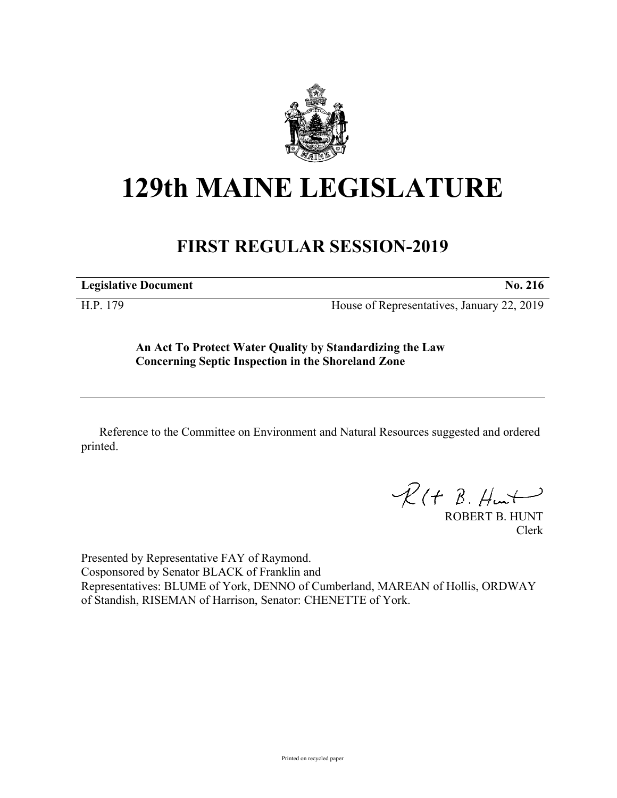

## **129th MAINE LEGISLATURE**

## **FIRST REGULAR SESSION-2019**

**Legislative Document No. 216**

H.P. 179 House of Representatives, January 22, 2019

**An Act To Protect Water Quality by Standardizing the Law Concerning Septic Inspection in the Shoreland Zone**

Reference to the Committee on Environment and Natural Resources suggested and ordered printed.

 $R(H B. H<sub>un</sub>+)$ 

ROBERT B. HUNT Clerk

Presented by Representative FAY of Raymond. Cosponsored by Senator BLACK of Franklin and Representatives: BLUME of York, DENNO of Cumberland, MAREAN of Hollis, ORDWAY of Standish, RISEMAN of Harrison, Senator: CHENETTE of York.